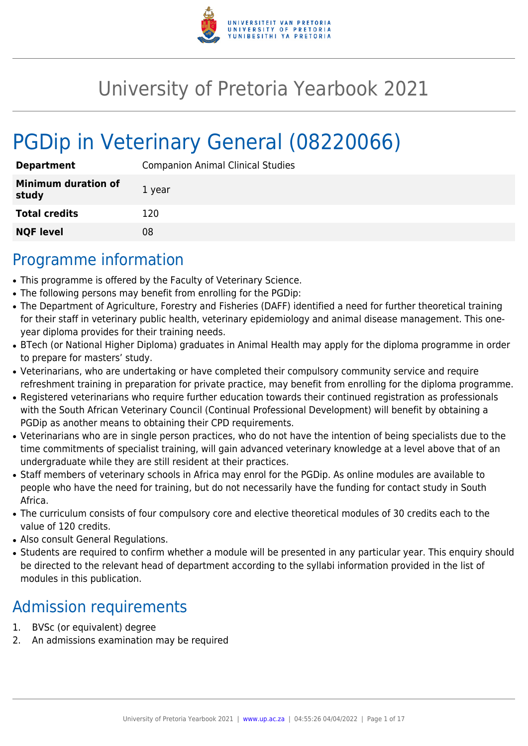

# University of Pretoria Yearbook 2021

# PGDip in Veterinary General (08220066)

| <b>Department</b>                   | <b>Companion Animal Clinical Studies</b> |
|-------------------------------------|------------------------------------------|
| <b>Minimum duration of</b><br>study | 1 year                                   |
| <b>Total credits</b>                | 120                                      |
| <b>NQF level</b>                    | 08                                       |

# Programme information

- This programme is offered by the Faculty of Veterinary Science.
- The following persons may benefit from enrolling for the PGDip:
- The Department of Agriculture, Forestry and Fisheries (DAFF) identified a need for further theoretical training for their staff in veterinary public health, veterinary epidemiology and animal disease management. This oneyear diploma provides for their training needs.
- BTech (or National Higher Diploma) graduates in Animal Health may apply for the diploma programme in order to prepare for masters' study.
- Veterinarians, who are undertaking or have completed their compulsory community service and require refreshment training in preparation for private practice, may benefit from enrolling for the diploma programme.
- Registered veterinarians who require further education towards their continued registration as professionals with the South African Veterinary Council (Continual Professional Development) will benefit by obtaining a PGDip as another means to obtaining their CPD requirements.
- Veterinarians who are in single person practices, who do not have the intention of being specialists due to the time commitments of specialist training, will gain advanced veterinary knowledge at a level above that of an undergraduate while they are still resident at their practices.
- Staff members of veterinary schools in Africa may enrol for the PGDip. As online modules are available to people who have the need for training, but do not necessarily have the funding for contact study in South Africa.
- The curriculum consists of four compulsory core and elective theoretical modules of 30 credits each to the value of 120 credits.
- Also consult General Regulations.
- Students are required to confirm whether a module will be presented in any particular year. This enquiry should be directed to the relevant head of department according to the syllabi information provided in the list of modules in this publication.

# Admission requirements

- 1. BVSc (or equivalent) degree
- 2. An admissions examination may be required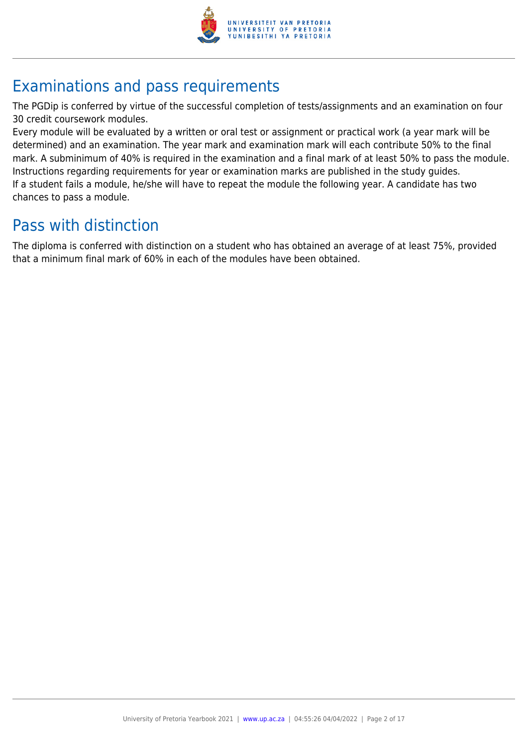

# Examinations and pass requirements

The PGDip is conferred by virtue of the successful completion of tests/assignments and an examination on four 30 credit coursework modules.

Every module will be evaluated by a written or oral test or assignment or practical work (a year mark will be determined) and an examination. The year mark and examination mark will each contribute 50% to the final mark. A subminimum of 40% is required in the examination and a final mark of at least 50% to pass the module. Instructions regarding requirements for year or examination marks are published in the study guides. If a student fails a module, he/she will have to repeat the module the following year. A candidate has two chances to pass a module.

# Pass with distinction

The diploma is conferred with distinction on a student who has obtained an average of at least 75%, provided that a minimum final mark of 60% in each of the modules have been obtained.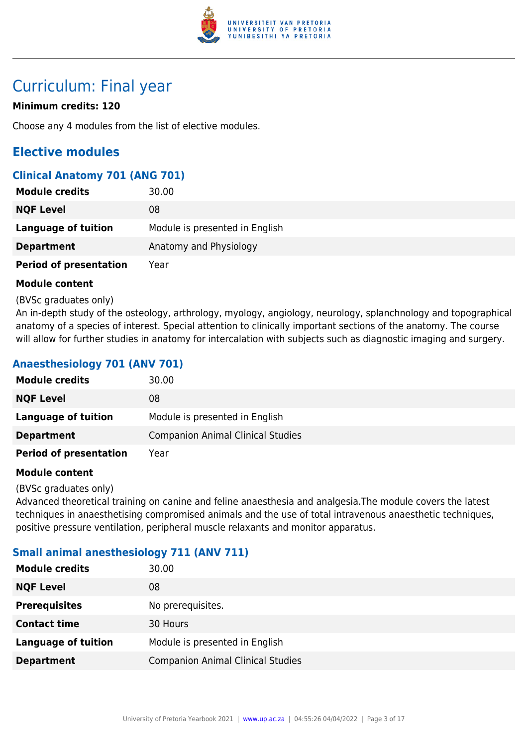

# Curriculum: Final year

# **Minimum credits: 120**

Choose any 4 modules from the list of elective modules.

# **Elective modules**

# **Clinical Anatomy 701 (ANG 701)**

| <b>Module credits</b>         | 30.00                          |
|-------------------------------|--------------------------------|
| <b>NQF Level</b>              | 08                             |
| Language of tuition           | Module is presented in English |
| <b>Department</b>             | Anatomy and Physiology         |
| <b>Period of presentation</b> | Year                           |

### **Module content**

(BVSc graduates only)

An in-depth study of the osteology, arthrology, myology, angiology, neurology, splanchnology and topographical anatomy of a species of interest. Special attention to clinically important sections of the anatomy. The course will allow for further studies in anatomy for intercalation with subjects such as diagnostic imaging and surgery.

# **Anaesthesiology 701 (ANV 701)**

| <b>Module credits</b>         | 30.00                                    |
|-------------------------------|------------------------------------------|
| <b>NQF Level</b>              | 08                                       |
| <b>Language of tuition</b>    | Module is presented in English           |
| <b>Department</b>             | <b>Companion Animal Clinical Studies</b> |
| <b>Period of presentation</b> | Year                                     |

#### **Module content**

(BVSc graduates only)

Advanced theoretical training on canine and feline anaesthesia and analgesia.The module covers the latest techniques in anaesthetising compromised animals and the use of total intravenous anaesthetic techniques, positive pressure ventilation, peripheral muscle relaxants and monitor apparatus.

# **Small animal anesthesiology 711 (ANV 711)**

| <b>Module credits</b>      | 30.00                                    |
|----------------------------|------------------------------------------|
| <b>NQF Level</b>           | 08                                       |
| <b>Prerequisites</b>       | No prerequisites.                        |
| <b>Contact time</b>        | 30 Hours                                 |
| <b>Language of tuition</b> | Module is presented in English           |
| <b>Department</b>          | <b>Companion Animal Clinical Studies</b> |
|                            |                                          |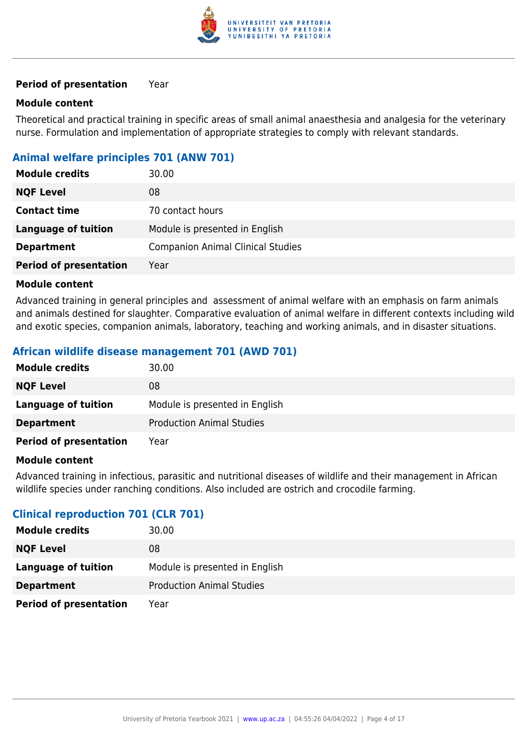

#### **Module content**

Theoretical and practical training in specific areas of small animal anaesthesia and analgesia for the veterinary nurse. Formulation and implementation of appropriate strategies to comply with relevant standards.

# **Animal welfare principles 701 (ANW 701)**

| <b>Module credits</b>         | 30.00                                    |
|-------------------------------|------------------------------------------|
| <b>NQF Level</b>              | 08                                       |
| <b>Contact time</b>           | 70 contact hours                         |
| Language of tuition           | Module is presented in English           |
| <b>Department</b>             | <b>Companion Animal Clinical Studies</b> |
| <b>Period of presentation</b> | Year                                     |

#### **Module content**

Advanced training in general principles and assessment of animal welfare with an emphasis on farm animals and animals destined for slaughter. Comparative evaluation of animal welfare in different contexts including wild and exotic species, companion animals, laboratory, teaching and working animals, and in disaster situations.

# **African wildlife disease management 701 (AWD 701)**

| <b>Module credits</b>         | 30.00                            |
|-------------------------------|----------------------------------|
| <b>NQF Level</b>              | 08                               |
| Language of tuition           | Module is presented in English   |
| <b>Department</b>             | <b>Production Animal Studies</b> |
| <b>Period of presentation</b> | Year                             |

#### **Module content**

Advanced training in infectious, parasitic and nutritional diseases of wildlife and their management in African wildlife species under ranching conditions. Also included are ostrich and crocodile farming.

# **Clinical reproduction 701 (CLR 701)**

| <b>Module credits</b>         | 30.00                            |
|-------------------------------|----------------------------------|
| <b>NQF Level</b>              | 08                               |
| Language of tuition           | Module is presented in English   |
| <b>Department</b>             | <b>Production Animal Studies</b> |
| <b>Period of presentation</b> | Year                             |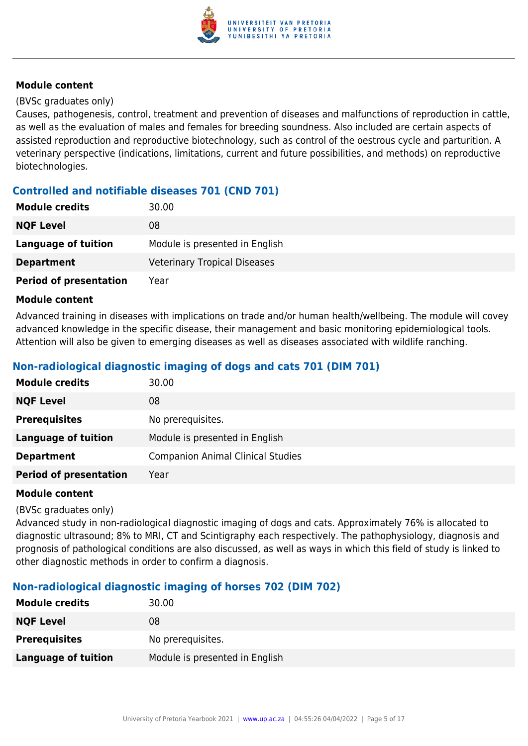

#### (BVSc graduates only)

Causes, pathogenesis, control, treatment and prevention of diseases and malfunctions of reproduction in cattle, as well as the evaluation of males and females for breeding soundness. Also included are certain aspects of assisted reproduction and reproductive biotechnology, such as control of the oestrous cycle and parturition. A veterinary perspective (indications, limitations, current and future possibilities, and methods) on reproductive biotechnologies.

# **Controlled and notifiable diseases 701 (CND 701)**

| <b>Module credits</b>         | 30.00                               |
|-------------------------------|-------------------------------------|
| <b>NQF Level</b>              | 08                                  |
| <b>Language of tuition</b>    | Module is presented in English      |
| <b>Department</b>             | <b>Veterinary Tropical Diseases</b> |
| <b>Period of presentation</b> | Year                                |

#### **Module content**

Advanced training in diseases with implications on trade and/or human health/wellbeing. The module will covey advanced knowledge in the specific disease, their management and basic monitoring epidemiological tools. Attention will also be given to emerging diseases as well as diseases associated with wildlife ranching.

# **Non-radiological diagnostic imaging of dogs and cats 701 (DIM 701)**

| <b>Module credits</b>         | 30.00                                    |
|-------------------------------|------------------------------------------|
| <b>NQF Level</b>              | 08                                       |
| <b>Prerequisites</b>          | No prerequisites.                        |
| <b>Language of tuition</b>    | Module is presented in English           |
| <b>Department</b>             | <b>Companion Animal Clinical Studies</b> |
| <b>Period of presentation</b> | Year                                     |

#### **Module content**

#### (BVSc graduates only)

Advanced study in non-radiological diagnostic imaging of dogs and cats. Approximately 76% is allocated to diagnostic ultrasound; 8% to MRI, CT and Scintigraphy each respectively. The pathophysiology, diagnosis and prognosis of pathological conditions are also discussed, as well as ways in which this field of study is linked to other diagnostic methods in order to confirm a diagnosis.

# **Non-radiological diagnostic imaging of horses 702 (DIM 702)**

| <b>Module credits</b>      | 30.00                          |
|----------------------------|--------------------------------|
| <b>NQF Level</b>           | 08                             |
| <b>Prerequisites</b>       | No prerequisites.              |
| <b>Language of tuition</b> | Module is presented in English |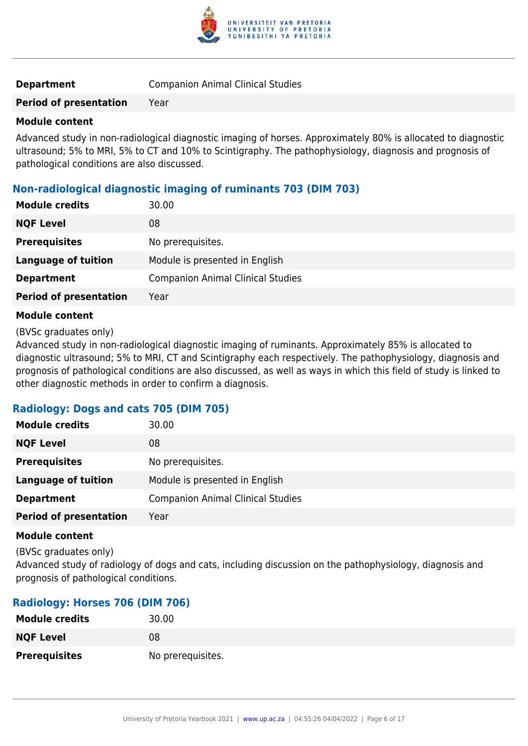

| <b>Companion Animal Clinical Studies</b> |
|------------------------------------------|
|                                          |

#### **Module content**

Advanced study in non-radiological diagnostic imaging of horses. Approximately 80% is allocated to diagnostic ultrasound; 5% to MRI, 5% to CT and 10% to Scintigraphy. The pathophysiology, diagnosis and prognosis of pathological conditions are also discussed.

### **Non-radiological diagnostic imaging of ruminants 703 (DIM 703)**

| <b>Module credits</b>         | 30.00                                    |
|-------------------------------|------------------------------------------|
| <b>NQF Level</b>              | 08                                       |
| <b>Prerequisites</b>          | No prerequisites.                        |
| <b>Language of tuition</b>    | Module is presented in English           |
| <b>Department</b>             | <b>Companion Animal Clinical Studies</b> |
| <b>Period of presentation</b> | Year                                     |

#### **Module content**

(BVSc graduates only)

Advanced study in non-radiological diagnostic imaging of ruminants. Approximately 85% is allocated to diagnostic ultrasound; 5% to MRI, CT and Scintigraphy each respectively. The pathophysiology, diagnosis and prognosis of pathological conditions are also discussed, as well as ways in which this field of study is linked to other diagnostic methods in order to confirm a diagnosis.

#### **Radiology: Dogs and cats 705 (DIM 705)**

| <b>Module credits</b>         | 30.00                                    |
|-------------------------------|------------------------------------------|
| <b>NQF Level</b>              | 08                                       |
| <b>Prerequisites</b>          | No prerequisites.                        |
| <b>Language of tuition</b>    | Module is presented in English           |
| <b>Department</b>             | <b>Companion Animal Clinical Studies</b> |
| <b>Period of presentation</b> | Year                                     |

#### **Module content**

(BVSc graduates only)

Advanced study of radiology of dogs and cats, including discussion on the pathophysiology, diagnosis and prognosis of pathological conditions.

#### **Radiology: Horses 706 (DIM 706)**

| <b>Module credits</b> | 30.00             |
|-----------------------|-------------------|
| <b>NQF Level</b>      | 08                |
| <b>Prerequisites</b>  | No prerequisites. |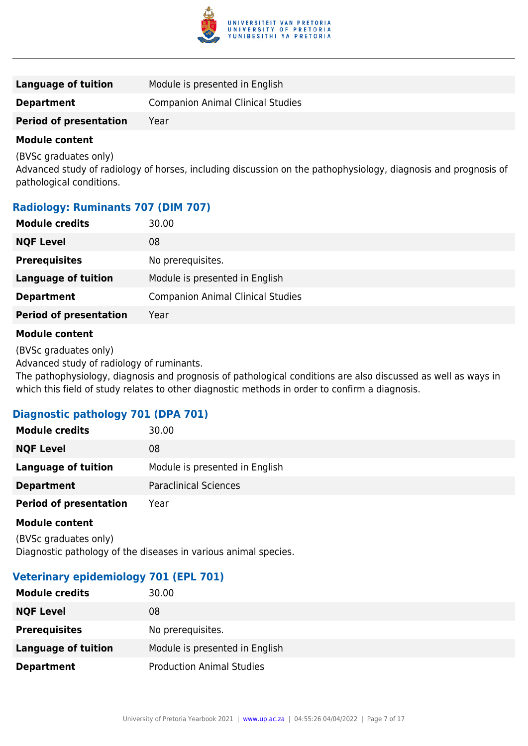

| Module is presented in English<br>Language of tuition         |  |
|---------------------------------------------------------------|--|
| <b>Companion Animal Clinical Studies</b><br><b>Department</b> |  |
| <b>Period of presentation</b><br>Year                         |  |

(BVSc graduates only)

Advanced study of radiology of horses, including discussion on the pathophysiology, diagnosis and prognosis of pathological conditions.

# **Radiology: Ruminants 707 (DIM 707)**

| <b>Module credits</b>         | 30.00                                    |
|-------------------------------|------------------------------------------|
| <b>NQF Level</b>              | 08                                       |
| <b>Prerequisites</b>          | No prerequisites.                        |
| <b>Language of tuition</b>    | Module is presented in English           |
| <b>Department</b>             | <b>Companion Animal Clinical Studies</b> |
| <b>Period of presentation</b> | Year                                     |
|                               |                                          |

#### **Module content**

(BVSc graduates only)

Advanced study of radiology of ruminants.

The pathophysiology, diagnosis and prognosis of pathological conditions are also discussed as well as ways in which this field of study relates to other diagnostic methods in order to confirm a diagnosis.

# **Diagnostic pathology 701 (DPA 701)**

| <b>Module credits</b>         | 30.00                          |
|-------------------------------|--------------------------------|
| <b>NQF Level</b>              | 08                             |
| <b>Language of tuition</b>    | Module is presented in English |
| <b>Department</b>             | <b>Paraclinical Sciences</b>   |
| <b>Period of presentation</b> | Year                           |

#### **Module content**

(BVSc graduates only) Diagnostic pathology of the diseases in various animal species.

# **Veterinary epidemiology 701 (EPL 701)**

| <b>Module credits</b> | 30.00                            |
|-----------------------|----------------------------------|
| <b>NQF Level</b>      | 08                               |
| <b>Prerequisites</b>  | No prerequisites.                |
| Language of tuition   | Module is presented in English   |
| <b>Department</b>     | <b>Production Animal Studies</b> |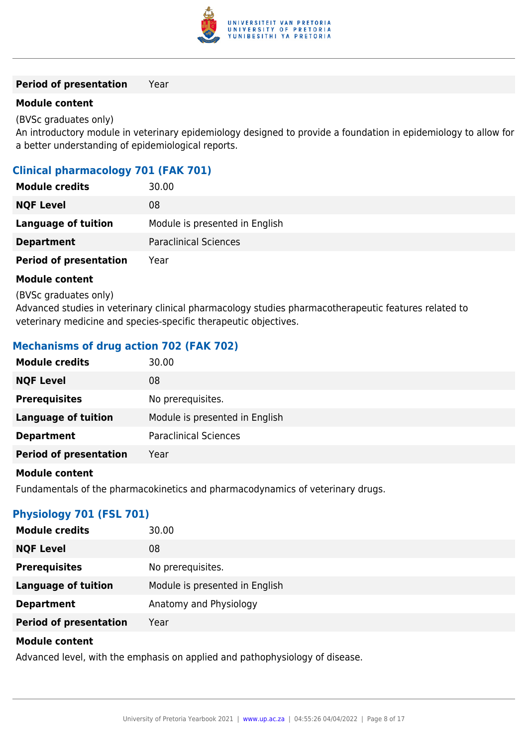

#### **Module content**

(BVSc graduates only)

An introductory module in veterinary epidemiology designed to provide a foundation in epidemiology to allow for a better understanding of epidemiological reports.

### **Clinical pharmacology 701 (FAK 701)**

| <b>Module credits</b>         | 30.00                          |
|-------------------------------|--------------------------------|
| <b>NQF Level</b>              | 08                             |
| Language of tuition           | Module is presented in English |
| <b>Department</b>             | <b>Paraclinical Sciences</b>   |
| <b>Period of presentation</b> | Year                           |

#### **Module content**

(BVSc graduates only)

Advanced studies in veterinary clinical pharmacology studies pharmacotherapeutic features related to veterinary medicine and species-specific therapeutic objectives.

### **Mechanisms of drug action 702 (FAK 702)**

| <b>Module credits</b>         | 30.00                          |
|-------------------------------|--------------------------------|
| <b>NQF Level</b>              | 08                             |
| <b>Prerequisites</b>          | No prerequisites.              |
| <b>Language of tuition</b>    | Module is presented in English |
| <b>Department</b>             | <b>Paraclinical Sciences</b>   |
| <b>Period of presentation</b> | Year                           |
|                               |                                |

#### **Module content**

Fundamentals of the pharmacokinetics and pharmacodynamics of veterinary drugs.

# **Physiology 701 (FSL 701)**

| <b>Module credits</b>         | 30.00                          |
|-------------------------------|--------------------------------|
| <b>NQF Level</b>              | 08                             |
| <b>Prerequisites</b>          | No prerequisites.              |
| <b>Language of tuition</b>    | Module is presented in English |
| <b>Department</b>             | Anatomy and Physiology         |
| <b>Period of presentation</b> | Year                           |

#### **Module content**

Advanced level, with the emphasis on applied and pathophysiology of disease.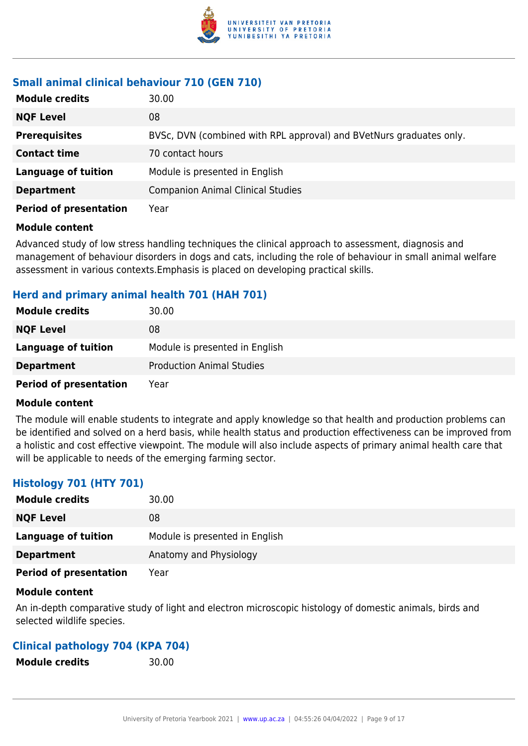

### **Small animal clinical behaviour 710 (GEN 710)**

| <b>Module credits</b>         | 30.00                                                               |
|-------------------------------|---------------------------------------------------------------------|
| <b>NQF Level</b>              | 08                                                                  |
| <b>Prerequisites</b>          | BVSc, DVN (combined with RPL approval) and BVetNurs graduates only. |
| <b>Contact time</b>           | 70 contact hours                                                    |
| <b>Language of tuition</b>    | Module is presented in English                                      |
| <b>Department</b>             | <b>Companion Animal Clinical Studies</b>                            |
| <b>Period of presentation</b> | Year                                                                |

#### **Module content**

Advanced study of low stress handling techniques the clinical approach to assessment, diagnosis and management of behaviour disorders in dogs and cats, including the role of behaviour in small animal welfare assessment in various contexts.Emphasis is placed on developing practical skills.

### **Herd and primary animal health 701 (HAH 701)**

| <b>Module credits</b>         | 30.00                            |
|-------------------------------|----------------------------------|
| <b>NQF Level</b>              | 08                               |
| Language of tuition           | Module is presented in English   |
| <b>Department</b>             | <b>Production Animal Studies</b> |
| <b>Period of presentation</b> | Year                             |

#### **Module content**

The module will enable students to integrate and apply knowledge so that health and production problems can be identified and solved on a herd basis, while health status and production effectiveness can be improved from a holistic and cost effective viewpoint. The module will also include aspects of primary animal health care that will be applicable to needs of the emerging farming sector.

# **Histology 701 (HTY 701)**

| <b>Module credits</b>         | 30.00                          |
|-------------------------------|--------------------------------|
| <b>NQF Level</b>              | 08                             |
| Language of tuition           | Module is presented in English |
| <b>Department</b>             | Anatomy and Physiology         |
| <b>Period of presentation</b> | Year                           |

#### **Module content**

An in-depth comparative study of light and electron microscopic histology of domestic animals, birds and selected wildlife species.

#### **Clinical pathology 704 (KPA 704)**

**Module credits** 30.00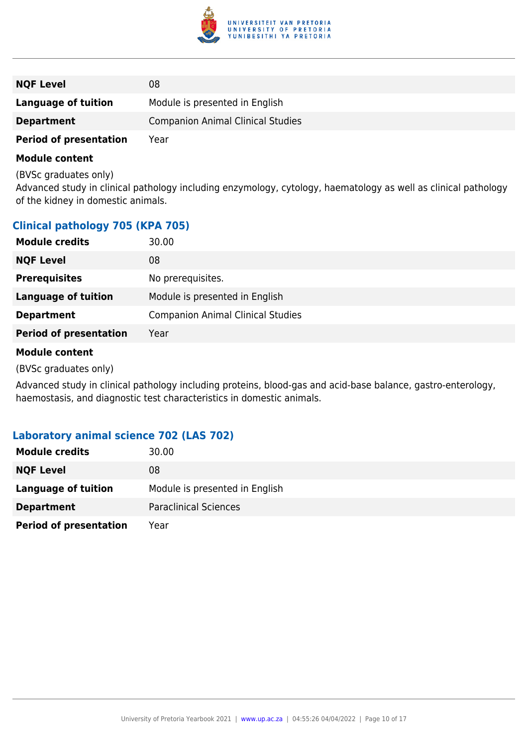

| <b>NQF Level</b>              | 08                                       |
|-------------------------------|------------------------------------------|
| Language of tuition           | Module is presented in English           |
| <b>Department</b>             | <b>Companion Animal Clinical Studies</b> |
| <b>Period of presentation</b> | Year                                     |

(BVSc graduates only)

Advanced study in clinical pathology including enzymology, cytology, haematology as well as clinical pathology of the kidney in domestic animals.

# **Clinical pathology 705 (KPA 705)**

| <b>Module credits</b>         | 30.00                                    |
|-------------------------------|------------------------------------------|
| <b>NQF Level</b>              | 08                                       |
| <b>Prerequisites</b>          | No prerequisites.                        |
| <b>Language of tuition</b>    | Module is presented in English           |
| <b>Department</b>             | <b>Companion Animal Clinical Studies</b> |
| <b>Period of presentation</b> | Year                                     |
|                               |                                          |

#### **Module content**

(BVSc graduates only)

Advanced study in clinical pathology including proteins, blood-gas and acid-base balance, gastro-enterology, haemostasis, and diagnostic test characteristics in domestic animals.

#### **Laboratory animal science 702 (LAS 702)**

| <b>Module credits</b>         | 30.00                          |
|-------------------------------|--------------------------------|
| <b>NQF Level</b>              | 08                             |
| Language of tuition           | Module is presented in English |
| <b>Department</b>             | <b>Paraclinical Sciences</b>   |
| <b>Period of presentation</b> | Year                           |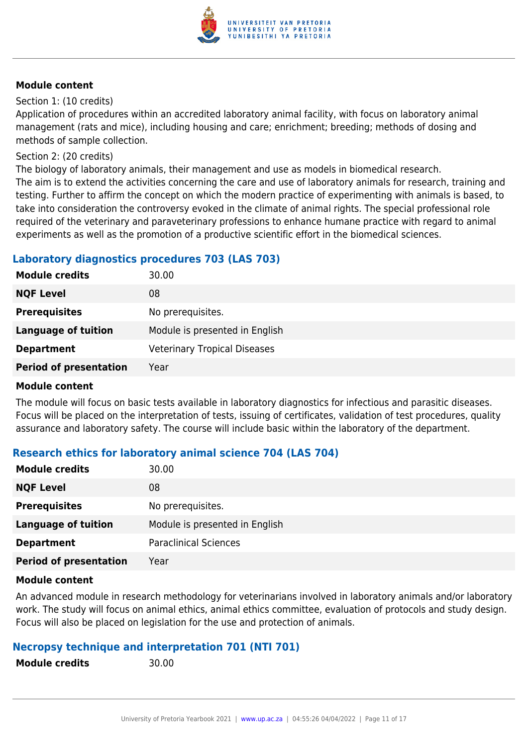

#### Section 1: (10 credits)

Application of procedures within an accredited laboratory animal facility, with focus on laboratory animal management (rats and mice), including housing and care; enrichment; breeding; methods of dosing and methods of sample collection.

#### Section 2: (20 credits)

The biology of laboratory animals, their management and use as models in biomedical research. The aim is to extend the activities concerning the care and use of laboratory animals for research, training and testing. Further to affirm the concept on which the modern practice of experimenting with animals is based, to take into consideration the controversy evoked in the climate of animal rights. The special professional role required of the veterinary and paraveterinary professions to enhance humane practice with regard to animal experiments as well as the promotion of a productive scientific effort in the biomedical sciences.

# **Laboratory diagnostics procedures 703 (LAS 703)**

| <b>Module credits</b>         | 30.00                               |
|-------------------------------|-------------------------------------|
| <b>NQF Level</b>              | 08                                  |
| <b>Prerequisites</b>          | No prerequisites.                   |
| <b>Language of tuition</b>    | Module is presented in English      |
| <b>Department</b>             | <b>Veterinary Tropical Diseases</b> |
| <b>Period of presentation</b> | Year                                |

#### **Module content**

The module will focus on basic tests available in laboratory diagnostics for infectious and parasitic diseases. Focus will be placed on the interpretation of tests, issuing of certificates, validation of test procedures, quality assurance and laboratory safety. The course will include basic within the laboratory of the department.

# **Research ethics for laboratory animal science 704 (LAS 704)**

| <b>Module credits</b>         | 30.00                          |
|-------------------------------|--------------------------------|
| <b>NQF Level</b>              | 08                             |
| <b>Prerequisites</b>          | No prerequisites.              |
| <b>Language of tuition</b>    | Module is presented in English |
| <b>Department</b>             | <b>Paraclinical Sciences</b>   |
| <b>Period of presentation</b> | Year                           |

#### **Module content**

An advanced module in research methodology for veterinarians involved in laboratory animals and/or laboratory work. The study will focus on animal ethics, animal ethics committee, evaluation of protocols and study design. Focus will also be placed on legislation for the use and protection of animals.

# **Necropsy technique and interpretation 701 (NTI 701)**

| <b>Module credits</b> |  |
|-----------------------|--|
|-----------------------|--|

**Module credits** 30.00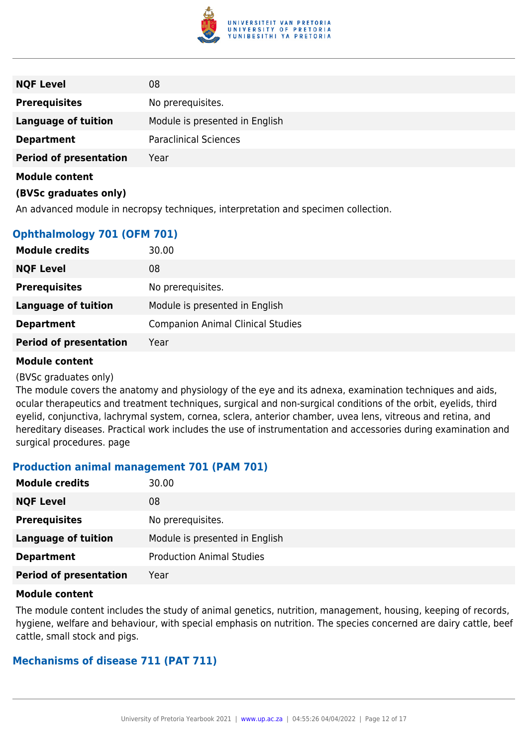

| <b>NQF Level</b>              | 08                             |
|-------------------------------|--------------------------------|
| <b>Prerequisites</b>          | No prerequisites.              |
| <b>Language of tuition</b>    | Module is presented in English |
| <b>Department</b>             | <b>Paraclinical Sciences</b>   |
| <b>Period of presentation</b> | Year                           |
| <b>Module content</b>         |                                |

#### **(BVSc graduates only)**

An advanced module in necropsy techniques, interpretation and specimen collection.

# **Ophthalmology 701 (OFM 701)**

| <b>Module credits</b>         | 30.00                                    |
|-------------------------------|------------------------------------------|
| <b>NQF Level</b>              | 08                                       |
| <b>Prerequisites</b>          | No prerequisites.                        |
| <b>Language of tuition</b>    | Module is presented in English           |
| <b>Department</b>             | <b>Companion Animal Clinical Studies</b> |
| <b>Period of presentation</b> | Year                                     |

#### **Module content**

#### (BVSc graduates only)

The module covers the anatomy and physiology of the eye and its adnexa, examination techniques and aids, ocular therapeutics and treatment techniques, surgical and non-surgical conditions of the orbit, eyelids, third eyelid, conjunctiva, lachrymal system, cornea, sclera, anterior chamber, uvea lens, vitreous and retina, and hereditary diseases. Practical work includes the use of instrumentation and accessories during examination and surgical procedures. page

#### **Production animal management 701 (PAM 701)**

| <b>Module credits</b>         | 30.00                            |
|-------------------------------|----------------------------------|
| <b>NQF Level</b>              | 08                               |
| <b>Prerequisites</b>          | No prerequisites.                |
| <b>Language of tuition</b>    | Module is presented in English   |
| <b>Department</b>             | <b>Production Animal Studies</b> |
| <b>Period of presentation</b> | Year                             |

#### **Module content**

The module content includes the study of animal genetics, nutrition, management, housing, keeping of records, hygiene, welfare and behaviour, with special emphasis on nutrition. The species concerned are dairy cattle, beef cattle, small stock and pigs.

#### **Mechanisms of disease 711 (PAT 711)**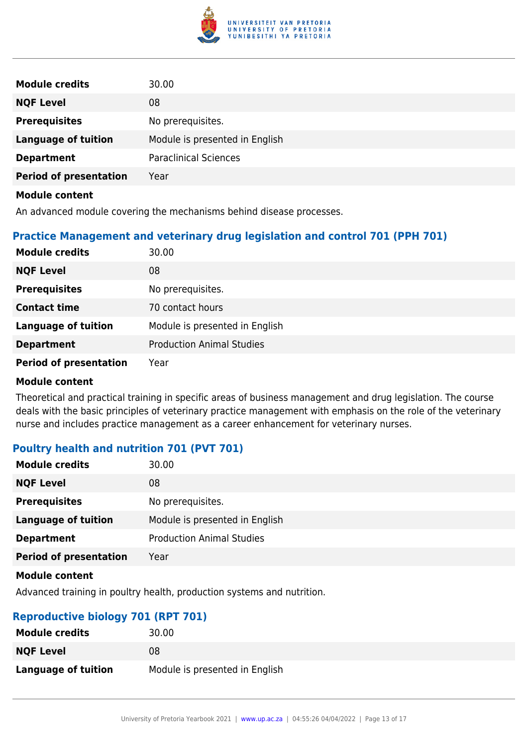

| <b>Module credits</b>         | 30.00                          |
|-------------------------------|--------------------------------|
| <b>NQF Level</b>              | 08                             |
| <b>Prerequisites</b>          | No prerequisites.              |
| <b>Language of tuition</b>    | Module is presented in English |
| <b>Department</b>             | <b>Paraclinical Sciences</b>   |
| <b>Period of presentation</b> | Year                           |
| <b>Module content</b>         |                                |

An advanced module covering the mechanisms behind disease processes.

# **Practice Management and veterinary drug legislation and control 701 (PPH 701)**

| <b>Module credits</b>         | 30.00                            |
|-------------------------------|----------------------------------|
| <b>NQF Level</b>              | 08                               |
| <b>Prerequisites</b>          | No prerequisites.                |
| <b>Contact time</b>           | 70 contact hours                 |
| <b>Language of tuition</b>    | Module is presented in English   |
| <b>Department</b>             | <b>Production Animal Studies</b> |
| <b>Period of presentation</b> | Year                             |

#### **Module content**

Theoretical and practical training in specific areas of business management and drug legislation. The course deals with the basic principles of veterinary practice management with emphasis on the role of the veterinary nurse and includes practice management as a career enhancement for veterinary nurses.

# **Poultry health and nutrition 701 (PVT 701)**

| <b>Module credits</b>         | 30.00                            |
|-------------------------------|----------------------------------|
| <b>NQF Level</b>              | 08                               |
| <b>Prerequisites</b>          | No prerequisites.                |
| <b>Language of tuition</b>    | Module is presented in English   |
| <b>Department</b>             | <b>Production Animal Studies</b> |
| <b>Period of presentation</b> | Year                             |
|                               |                                  |

#### **Module content**

Advanced training in poultry health, production systems and nutrition.

# **Reproductive biology 701 (RPT 701)**

| <b>Module credits</b> | 30.00                          |
|-----------------------|--------------------------------|
| <b>NQF Level</b>      | 08                             |
| Language of tuition   | Module is presented in English |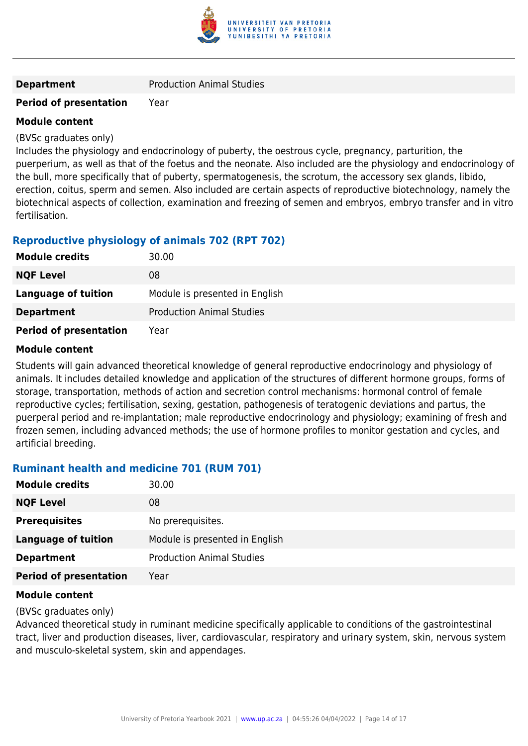

**Department** Production Animal Studies

### **Period of presentation** Year

#### **Module content**

(BVSc graduates only)

Includes the physiology and endocrinology of puberty, the oestrous cycle, pregnancy, parturition, the puerperium, as well as that of the foetus and the neonate. Also included are the physiology and endocrinology of the bull, more specifically that of puberty, spermatogenesis, the scrotum, the accessory sex glands, libido, erection, coitus, sperm and semen. Also included are certain aspects of reproductive biotechnology, namely the biotechnical aspects of collection, examination and freezing of semen and embryos, embryo transfer and in vitro fertilisation.

# **Reproductive physiology of animals 702 (RPT 702)**

| <b>Module credits</b>         | 30.00                            |
|-------------------------------|----------------------------------|
| <b>NQF Level</b>              | 08                               |
| Language of tuition           | Module is presented in English   |
| <b>Department</b>             | <b>Production Animal Studies</b> |
| <b>Period of presentation</b> | Year                             |

#### **Module content**

Students will gain advanced theoretical knowledge of general reproductive endocrinology and physiology of animals. It includes detailed knowledge and application of the structures of different hormone groups, forms of storage, transportation, methods of action and secretion control mechanisms: hormonal control of female reproductive cycles; fertilisation, sexing, gestation, pathogenesis of teratogenic deviations and partus, the puerperal period and re-implantation; male reproductive endocrinology and physiology; examining of fresh and frozen semen, including advanced methods; the use of hormone profiles to monitor gestation and cycles, and artificial breeding.

# **Ruminant health and medicine 701 (RUM 701)**

| <b>Module credits</b>         | 30.00                            |
|-------------------------------|----------------------------------|
| <b>NQF Level</b>              | 08                               |
| <b>Prerequisites</b>          | No prerequisites.                |
| <b>Language of tuition</b>    | Module is presented in English   |
| <b>Department</b>             | <b>Production Animal Studies</b> |
| <b>Period of presentation</b> | Year                             |

#### **Module content**

(BVSc graduates only)

Advanced theoretical study in ruminant medicine specifically applicable to conditions of the gastrointestinal tract, liver and production diseases, liver, cardiovascular, respiratory and urinary system, skin, nervous system and musculo-skeletal system, skin and appendages.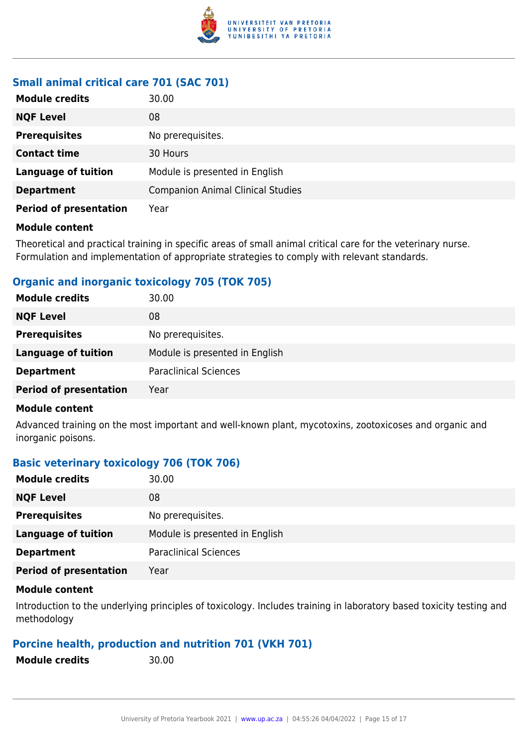

# **Small animal critical care 701 (SAC 701)**

| <b>Module credits</b>         | 30.00                                    |  |
|-------------------------------|------------------------------------------|--|
| <b>NQF Level</b>              | 08                                       |  |
| <b>Prerequisites</b>          | No prerequisites.                        |  |
| <b>Contact time</b>           | 30 Hours                                 |  |
| <b>Language of tuition</b>    | Module is presented in English           |  |
| <b>Department</b>             | <b>Companion Animal Clinical Studies</b> |  |
| <b>Period of presentation</b> | Year                                     |  |

#### **Module content**

Theoretical and practical training in specific areas of small animal critical care for the veterinary nurse. Formulation and implementation of appropriate strategies to comply with relevant standards.

# **Organic and inorganic toxicology 705 (TOK 705)**

| 30.00                          |
|--------------------------------|
| 08                             |
| No prerequisites.              |
| Module is presented in English |
| <b>Paraclinical Sciences</b>   |
| Year                           |
|                                |

#### **Module content**

Advanced training on the most important and well-known plant, mycotoxins, zootoxicoses and organic and inorganic poisons.

#### **Basic veterinary toxicology 706 (TOK 706)**

| <b>Module credits</b>         | 30.00                          |
|-------------------------------|--------------------------------|
| <b>NQF Level</b>              | 08                             |
| <b>Prerequisites</b>          | No prerequisites.              |
| <b>Language of tuition</b>    | Module is presented in English |
| <b>Department</b>             | <b>Paraclinical Sciences</b>   |
| <b>Period of presentation</b> | Year                           |

#### **Module content**

Introduction to the underlying principles of toxicology. Includes training in laboratory based toxicity testing and methodology

# **Porcine health, production and nutrition 701 (VKH 701)**

| <b>Module credits</b> |  |  |
|-----------------------|--|--|
|-----------------------|--|--|

**Module credits** 30.00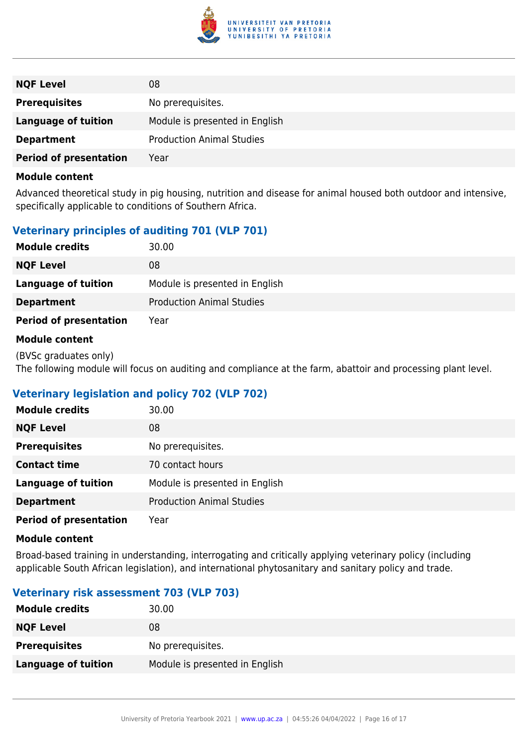

| <b>NQF Level</b>              | 08                               |
|-------------------------------|----------------------------------|
| <b>Prerequisites</b>          | No prerequisites.                |
| <b>Language of tuition</b>    | Module is presented in English   |
| <b>Department</b>             | <b>Production Animal Studies</b> |
| <b>Period of presentation</b> | Year                             |

Advanced theoretical study in pig housing, nutrition and disease for animal housed both outdoor and intensive, specifically applicable to conditions of Southern Africa.

# **Veterinary principles of auditing 701 (VLP 701)**

| <b>Module credits</b>         | 30.00                            |  |
|-------------------------------|----------------------------------|--|
| <b>NQF Level</b>              | 08                               |  |
| Language of tuition           | Module is presented in English   |  |
| <b>Department</b>             | <b>Production Animal Studies</b> |  |
| <b>Period of presentation</b> | Year                             |  |

#### **Module content**

(BVSc graduates only) The following module will focus on auditing and compliance at the farm, abattoir and processing plant level.

# **Veterinary legislation and policy 702 (VLP 702)**

| <b>Module credits</b>         | 30.00                            |
|-------------------------------|----------------------------------|
| <b>NQF Level</b>              | 08                               |
| <b>Prerequisites</b>          | No prerequisites.                |
| <b>Contact time</b>           | 70 contact hours                 |
| <b>Language of tuition</b>    | Module is presented in English   |
| <b>Department</b>             | <b>Production Animal Studies</b> |
| <b>Period of presentation</b> | Year                             |

#### **Module content**

Broad-based training in understanding, interrogating and critically applying veterinary policy (including applicable South African legislation), and international phytosanitary and sanitary policy and trade.

# **Veterinary risk assessment 703 (VLP 703)**

| <b>Module credits</b>      | 30.00                          |
|----------------------------|--------------------------------|
| <b>NQF Level</b>           | 08                             |
| <b>Prerequisites</b>       | No prerequisites.              |
| <b>Language of tuition</b> | Module is presented in English |